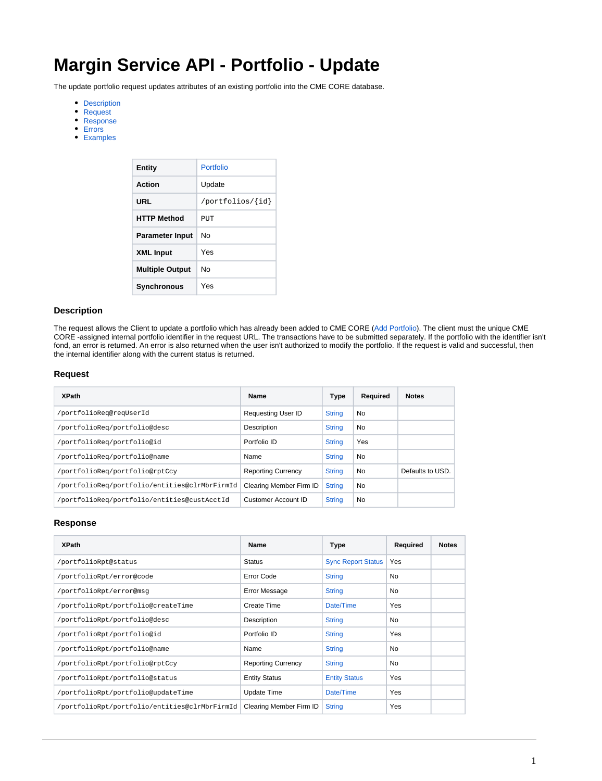# **Margin Service API - Portfolio - Update**

The update portfolio request updates attributes of an existing portfolio into the CME CORE database.

- [Description](#page-0-0)
- [Request](#page-0-1)
- [Response](#page-0-2)
- [Errors](#page-1-0)
- [Examples](#page-1-1)

| Entity                 | Portfolio        |
|------------------------|------------------|
| Action                 | Update           |
| URL                    | /portfolios/{id} |
| <b>HTTP Method</b>     | PUT              |
| <b>Parameter Input</b> | N٥               |
| <b>XML Input</b>       | Yes              |
| <b>Multiple Output</b> | N٥               |
| <b>Synchronous</b>     | Yes              |

## <span id="page-0-0"></span>**Description**

The request allows the Client to update a portfolio which has already been added to CME CORE ([Add Portfolio\)](https://www.cmegroup.com/confluence/display/EPICSANDBOX/Margin+Service+API+-+Portfolio+-+Add). The client must the unique CME CORE -assigned internal portfolio identifier in the request URL. The transactions have to be submitted separately. If the portfolio with the identifier isn't fond, an error is returned. An error is also returned when the user isn't authorized to modify the portfolio. If the request is valid and successful, then the internal identifier along with the current status is returned.

## <span id="page-0-1"></span>**Request**

| <b>XPath</b>                                  | Name                      | Type          | Required  | <b>Notes</b>     |
|-----------------------------------------------|---------------------------|---------------|-----------|------------------|
| /portfolioReq@reqUserId                       | <b>Requesting User ID</b> | <b>String</b> | No        |                  |
| /portfolioReg/portfolio@desc                  | Description               | <b>String</b> | No        |                  |
| /portfolioReq/portfolio@id                    | Portfolio ID              | <b>String</b> | Yes       |                  |
| /portfolioReg/portfolio@name                  | Name                      | <b>String</b> | No        |                  |
| /portfolioReq/portfolio@rptCcy                | <b>Reporting Currency</b> | <b>String</b> | <b>No</b> | Defaults to USD. |
| /portfolioReq/portfolio/entities@clrMbrFirmId | Clearing Member Firm ID   | <b>String</b> | <b>No</b> |                  |
| /portfolioReg/portfolio/entities@custAcctId   | Customer Account ID       | <b>String</b> | No        |                  |

### <span id="page-0-2"></span>**Response**

| <b>XPath</b>                                  | <b>Name</b>               | Type                      | Required | <b>Notes</b> |
|-----------------------------------------------|---------------------------|---------------------------|----------|--------------|
| /portfolioRpt@status                          | <b>Status</b>             | <b>Sync Report Status</b> | Yes      |              |
| /portfolioRpt/error@code                      | Error Code                | <b>String</b>             | No       |              |
| /portfolioRpt/error@msq                       | <b>Error Message</b>      | <b>String</b>             | No       |              |
| /portfolioRpt/portfolio@createTime            | Create Time               | Date/Time                 | Yes      |              |
| /portfolioRpt/portfolio@desc                  | Description               | <b>String</b>             | No       |              |
| /portfolioRpt/portfolio@id                    | Portfolio ID              | <b>String</b>             | Yes      |              |
| /portfolioRpt/portfolio@name                  | Name                      | <b>String</b>             | No       |              |
| /portfolioRpt/portfolio@rptCcy                | <b>Reporting Currency</b> | <b>String</b>             | No.      |              |
| /portfolioRpt/portfolio@status                | <b>Entity Status</b>      | <b>Entity Status</b>      | Yes      |              |
| /portfolioRpt/portfolio@updateTime            | <b>Update Time</b>        | Date/Time                 | Yes      |              |
| /portfolioRpt/portfolio/entities@clrMbrFirmId | Clearing Member Firm ID   | <b>String</b>             | Yes      |              |